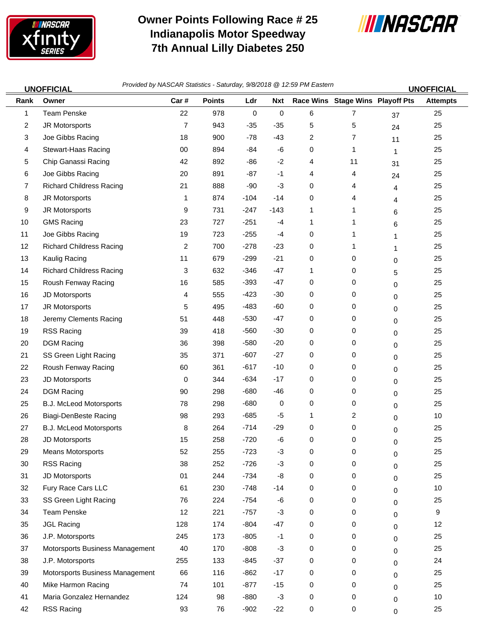

 $\equiv$ 

## **Owner Points Following Race # 25 Indianapolis Motor Speedway 7th Annual Lilly Diabetes 250**



*Provided by NASCAR Statistics -* **UNOFFICIAL UNOFFICIAL** *Saturday, 9/8/2018 @ 12:59 PM Eastern*

| Rank           | אמטו ו וטור<br>Owner            | Car#           | <b>Points</b> | Ldr              | <b>Nxt</b>          |   | Race Wins Stage Wins Playoff Pts |             | ויטו ו ועווע<br><b>Attempts</b> |
|----------------|---------------------------------|----------------|---------------|------------------|---------------------|---|----------------------------------|-------------|---------------------------------|
| $\mathbf{1}$   | <b>Team Penske</b>              | 22             | 978           | $\boldsymbol{0}$ | $\mathsf{O}\xspace$ | 6 | 7                                | 37          | 25                              |
| $\overline{a}$ | JR Motorsports                  | $\overline{7}$ | 943           | $-35$            | $-35$               | 5 | 5                                | 24          | 25                              |
| 3              | Joe Gibbs Racing                | 18             | 900           | $-78$            | $-43$               | 2 | 7                                | 11          | 25                              |
| 4              | Stewart-Haas Racing             | 00             | 894           | $-84$            | $-6$                | 0 | 1                                | 1           | 25                              |
| 5              | Chip Ganassi Racing             | 42             | 892           | -86              | $-2$                | 4 | 11                               | 31          | 25                              |
| 6              | Joe Gibbs Racing                | 20             | 891           | $-87$            | $-1$                | 4 | 4                                | 24          | 25                              |
| $\overline{7}$ | <b>Richard Childress Racing</b> | 21             | 888           | -90              | $-3$                | 0 | 4                                | 4           | 25                              |
| 8              | JR Motorsports                  | 1              | 874           | $-104$           | $-14$               | 0 | 4                                | 4           | 25                              |
| 9              | JR Motorsports                  | 9              | 731           | $-247$           | $-143$              | 1 | 1                                | 6           | 25                              |
| 10             | <b>GMS Racing</b>               | 23             | 727           | $-251$           | $-4$                | 1 | 1                                | 6           | 25                              |
| 11             | Joe Gibbs Racing                | 19             | 723           | $-255$           | $-4$                | 0 | 1                                | 1           | 25                              |
| 12             | <b>Richard Childress Racing</b> | 2              | 700           | $-278$           | $-23$               | 0 | 1                                | 1           | 25                              |
| 13             | Kaulig Racing                   | 11             | 679           | $-299$           | $-21$               | 0 | 0                                | 0           | 25                              |
| 14             | <b>Richard Childress Racing</b> | 3              | 632           | $-346$           | $-47$               | 1 | 0                                | 5           | 25                              |
| 15             | Roush Fenway Racing             | 16             | 585           | $-393$           | $-47$               | 0 | 0                                | 0           | 25                              |
| 16             | JD Motorsports                  | 4              | 555           | $-423$           | $-30$               | 0 | 0                                | 0           | 25                              |
| 17             | JR Motorsports                  | 5              | 495           | $-483$           | $-60$               | 0 | 0                                | 0           | 25                              |
| 18             | Jeremy Clements Racing          | 51             | 448           | $-530$           | $-47$               | 0 | 0                                | 0           | 25                              |
| 19             | RSS Racing                      | 39             | 418           | $-560$           | $-30$               | 0 | 0                                | 0           | 25                              |
| 20             | <b>DGM Racing</b>               | 36             | 398           | $-580$           | $-20$               | 0 | 0                                | 0           | 25                              |
| 21             | SS Green Light Racing           | 35             | 371           | $-607$           | $-27$               | 0 | 0                                | 0           | 25                              |
| 22             | Roush Fenway Racing             | 60             | 361           | $-617$           | $-10$               | 0 | 0                                | 0           | 25                              |
| 23             | JD Motorsports                  | 0              | 344           | $-634$           | $-17$               | 0 | 0                                | 0           | 25                              |
| 24             | <b>DGM Racing</b>               | 90             | 298           | $-680$           | -46                 | 0 | 0                                | 0           | 25                              |
| 25             | B.J. McLeod Motorsports         | 78             | 298           | $-680$           | 0                   | 0 | 0                                | 0           | 25                              |
| 26             | <b>Biagi-DenBeste Racing</b>    | 98             | 293           | $-685$           | -5                  | 1 | 2                                | 0           | 10                              |
| 27             | B.J. McLeod Motorsports         | 8              | 264           | $-714$           | $-29$               | 0 | 0                                | 0           | 25                              |
| 28             | JD Motorsports                  | 15             | 258           | $-720$           | $-6$                | 0 | 0                                | 0           | 25                              |
| 29             | <b>Means Motorsports</b>        | 52             | 255           | $-723$           | $-3$                | 0 | 0                                | 0           | 25                              |
| 30             | RSS Racing                      | 38             | 252           | $-726$           | $-3$                | 0 | 0                                | 0           | 25                              |
| 31             | JD Motorsports                  | 01             | 244           | $-734$           | -8                  | 0 | 0                                | 0           | 25                              |
| 32             | Fury Race Cars LLC              | 61             | 230           | $-748$           | $-14$               | 0 | 0                                | 0           | 10                              |
| 33             | SS Green Light Racing           | 76             | 224           | $-754$           | -6                  | 0 | 0                                | 0           | 25                              |
| 34             | <b>Team Penske</b>              | 12             | 221           | $-757$           | $-3$                | 0 | 0                                | 0           | 9                               |
| 35             | <b>JGL Racing</b>               | 128            | 174           | $-804$           | $-47$               | 0 | 0                                | 0           | 12                              |
| 36             | J.P. Motorsports                | 245            | 173           | $-805$           | $-1$                | 0 | 0                                | 0           | 25                              |
| 37             | Motorsports Business Management | 40             | 170           | $-808$           | $-3$                | 0 | 0                                | $\mathbf 0$ | 25                              |
| 38             | J.P. Motorsports                | 255            | 133           | $-845$           | $-37$               | 0 | 0                                | 0           | 24                              |
| 39             | Motorsports Business Management | 66             | 116           | $-862$           | $-17$               | 0 | 0                                | 0           | 25                              |
| 40             | Mike Harmon Racing              | 74             | 101           | $-877$           | $-15$               | 0 | 0                                | $\mathbf 0$ | 25                              |
| 41             | Maria Gonzalez Hernandez        | 124            | 98            | -880             | $-3$                | 0 | 0                                | 0           | 10                              |
| 42             | RSS Racing                      | 93             | 76            | $-902$           | $-22$               | 0 | 0                                | $\mathbf 0$ | 25                              |